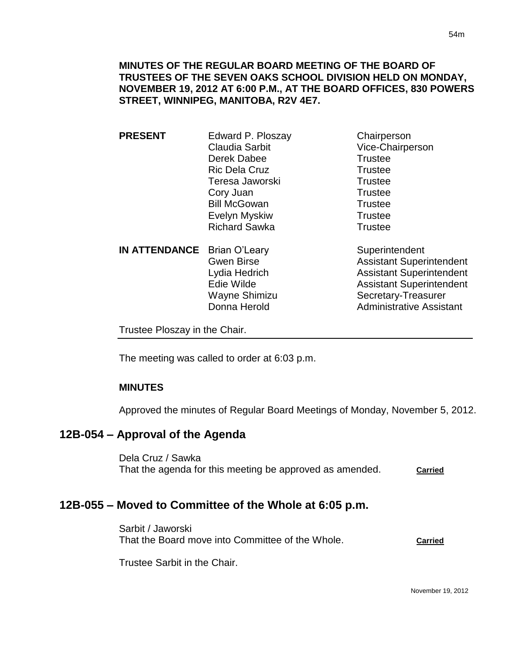## **MINUTES OF THE REGULAR BOARD MEETING OF THE BOARD OF TRUSTEES OF THE SEVEN OAKS SCHOOL DIVISION HELD ON MONDAY, NOVEMBER 19, 2012 AT 6:00 P.M., AT THE BOARD OFFICES, 830 POWERS STREET, WINNIPEG, MANITOBA, R2V 4E7.**

**PRESENT** Edward P. Ploszay Chairperson Claudia Sarbit Vice-Chairperson Derek Dabee Trustee Ric Dela Cruz **Trustee** Teresa Jaworski **Trustee** Cory Juan Trustee Bill McGowan Trustee Evelyn Myskiw **Trustee** Richard Sawka Trustee

**IN ATTENDANCE** Brian O'Leary Superintendent

Gwen Birse **Assistant Superintendent** Lydia Hedrich Assistant Superintendent Edie Wilde **Assistant Superintendent** Wayne Shimizu Secretary-Treasurer Donna Herold **Administrative Assistant** 

Trustee Ploszay in the Chair.

The meeting was called to order at 6:03 p.m.

## **MINUTES**

Approved the minutes of Regular Board Meetings of Monday, November 5, 2012.

## **12B-054 – Approval of the Agenda**

Dela Cruz / Sawka That the agenda for this meeting be approved as amended. **Carried**

## **12B-055 – Moved to Committee of the Whole at 6:05 p.m.**

Sarbit / Jaworski That the Board move into Committee of the Whole. **Carried**

Trustee Sarbit in the Chair.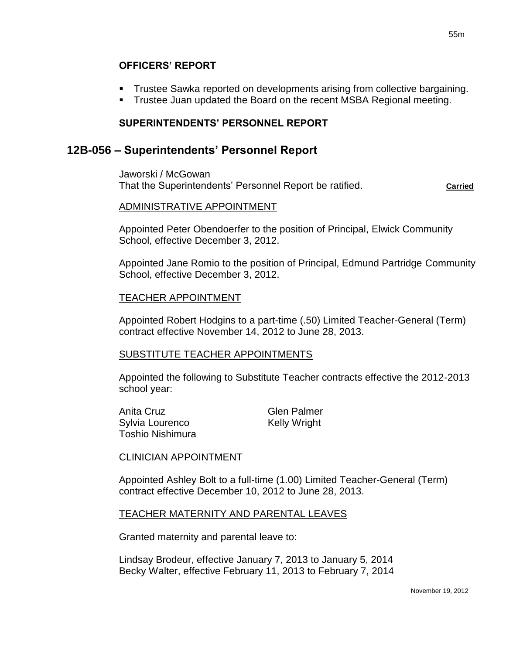## **OFFICERS' REPORT**

- Trustee Sawka reported on developments arising from collective bargaining.
- **Trustee Juan updated the Board on the recent MSBA Regional meeting.**

## **SUPERINTENDENTS' PERSONNEL REPORT**

## **12B-056 – Superintendents' Personnel Report**

Jaworski / McGowan That the Superintendents' Personnel Report be ratified. **Carried** 

## ADMINISTRATIVE APPOINTMENT

Appointed Peter Obendoerfer to the position of Principal, Elwick Community School, effective December 3, 2012.

Appointed Jane Romio to the position of Principal, Edmund Partridge Community School, effective December 3, 2012.

#### TEACHER APPOINTMENT

Appointed Robert Hodgins to a part-time (.50) Limited Teacher-General (Term) contract effective November 14, 2012 to June 28, 2013.

## SUBSTITUTE TEACHER APPOINTMENTS

Appointed the following to Substitute Teacher contracts effective the 2012-2013 school year:

| Anita Cruz              | <b>Glen Palmer</b>  |
|-------------------------|---------------------|
| Sylvia Lourenco         | <b>Kelly Wright</b> |
| <b>Toshio Nishimura</b> |                     |

## CLINICIAN APPOINTMENT

Appointed Ashley Bolt to a full-time (1.00) Limited Teacher-General (Term) contract effective December 10, 2012 to June 28, 2013.

## TEACHER MATERNITY AND PARENTAL LEAVES

Granted maternity and parental leave to:

Lindsay Brodeur, effective January 7, 2013 to January 5, 2014 Becky Walter, effective February 11, 2013 to February 7, 2014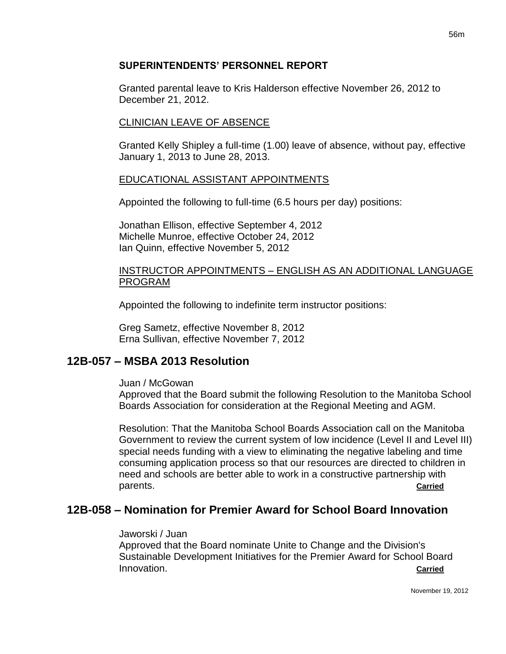## **SUPERINTENDENTS' PERSONNEL REPORT**

Granted parental leave to Kris Halderson effective November 26, 2012 to December 21, 2012.

## CLINICIAN LEAVE OF ABSENCE

Granted Kelly Shipley a full-time (1.00) leave of absence, without pay, effective January 1, 2013 to June 28, 2013.

## EDUCATIONAL ASSISTANT APPOINTMENTS

Appointed the following to full-time (6.5 hours per day) positions:

Jonathan Ellison, effective September 4, 2012 Michelle Munroe, effective October 24, 2012 Ian Quinn, effective November 5, 2012

### INSTRUCTOR APPOINTMENTS – ENGLISH AS AN ADDITIONAL LANGUAGE PROGRAM

Appointed the following to indefinite term instructor positions:

Greg Sametz, effective November 8, 2012 Erna Sullivan, effective November 7, 2012

# **12B-057 – MSBA 2013 Resolution**

#### Juan / McGowan

Approved that the Board submit the following Resolution to the Manitoba School Boards Association for consideration at the Regional Meeting and AGM.

Resolution: That the Manitoba School Boards Association call on the Manitoba Government to review the current system of low incidence (Level II and Level III) special needs funding with a view to eliminating the negative labeling and time consuming application process so that our resources are directed to children in need and schools are better able to work in a constructive partnership with parents. **Carried**

# **12B-058 – Nomination for Premier Award for School Board Innovation**

#### Jaworski / Juan

Approved that the Board nominate Unite to Change and the Division's Sustainable Development Initiatives for the Premier Award for School Board Innovation. **Carried**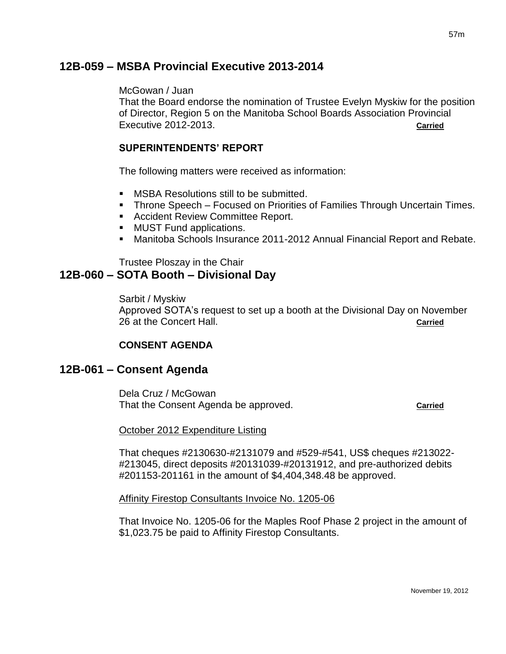# **12B-059 – MSBA Provincial Executive 2013-2014**

#### McGowan / Juan

That the Board endorse the nomination of Trustee Evelyn Myskiw for the position of Director, Region 5 on the Manitoba School Boards Association Provincial Executive 2012-2013. **Carried**

## **SUPERINTENDENTS' REPORT**

The following matters were received as information:

- **MSBA Resolutions still to be submitted.**
- **Throne Speech Focused on Priorities of Families Through Uncertain Times.**
- **Accident Review Committee Report.**
- **MUST Fund applications.**
- Manitoba Schools Insurance 2011-2012 Annual Financial Report and Rebate.

Trustee Ploszay in the Chair

# **12B-060 – SOTA Booth – Divisional Day**

Sarbit / Myskiw

Approved SOTA's request to set up a booth at the Divisional Day on November 26 at the Concert Hall. **Carried**

## **CONSENT AGENDA**

## **12B-061 – Consent Agenda**

Dela Cruz / McGowan That the Consent Agenda be approved. **Carried**

October 2012 Expenditure Listing

That cheques #2130630-#2131079 and #529-#541, US\$ cheques #213022- #213045, direct deposits #20131039-#20131912, and pre-authorized debits #201153-201161 in the amount of \$4,404,348.48 be approved.

Affinity Firestop Consultants Invoice No. 1205-06

That Invoice No. 1205-06 for the Maples Roof Phase 2 project in the amount of \$1,023.75 be paid to Affinity Firestop Consultants.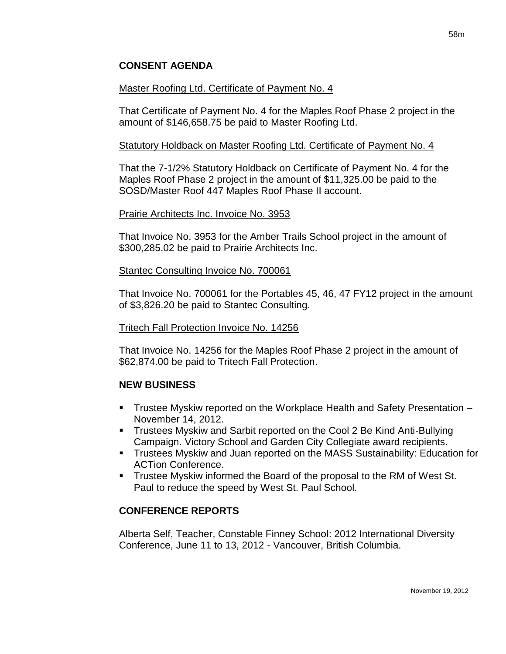## **CONSENT AGENDA**

### Master Roofing Ltd. Certificate of Payment No. 4

That Certificate of Payment No. 4 for the Maples Roof Phase 2 project in the amount of \$146,658.75 be paid to Master Roofing Ltd.

#### Statutory Holdback on Master Roofing Ltd. Certificate of Payment No. 4

That the 7-1/2% Statutory Holdback on Certificate of Payment No. 4 for the Maples Roof Phase 2 project in the amount of \$11,325.00 be paid to the SOSD/Master Roof 447 Maples Roof Phase II account.

#### Prairie Architects Inc. Invoice No. 3953

That Invoice No. 3953 for the Amber Trails School project in the amount of \$300,285.02 be paid to Prairie Architects Inc.

#### Stantec Consulting Invoice No. 700061

That Invoice No. 700061 for the Portables 45, 46, 47 FY12 project in the amount of \$3,826.20 be paid to Stantec Consulting.

#### Tritech Fall Protection Invoice No. 14256

That Invoice No. 14256 for the Maples Roof Phase 2 project in the amount of \$62,874.00 be paid to Tritech Fall Protection.

## **NEW BUSINESS**

- Trustee Myskiw reported on the Workplace Health and Safety Presentation November 14, 2012.
- Trustees Myskiw and Sarbit reported on the Cool 2 Be Kind Anti-Bullying Campaign. Victory School and Garden City Collegiate award recipients.
- Trustees Myskiw and Juan reported on the MASS Sustainability: Education for ACTion Conference.
- **Trustee Myskiw informed the Board of the proposal to the RM of West St.** Paul to reduce the speed by West St. Paul School.

## **CONFERENCE REPORTS**

Alberta Self, Teacher, Constable Finney School: 2012 International Diversity Conference, June 11 to 13, 2012 - Vancouver, British Columbia.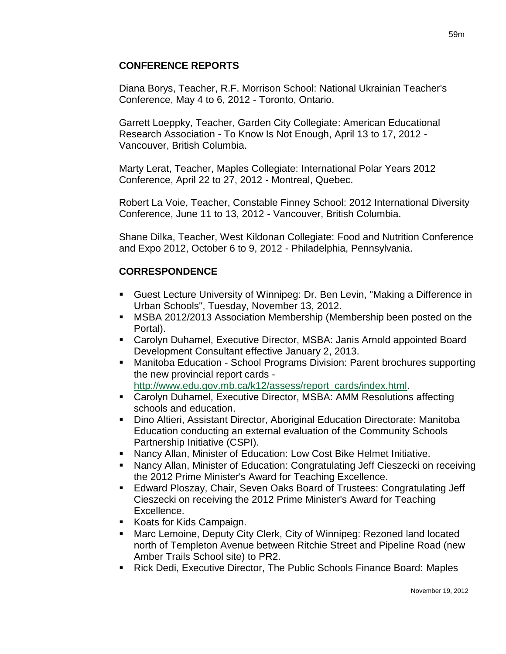Diana Borys, Teacher, R.F. Morrison School: National Ukrainian Teacher's Conference, May 4 to 6, 2012 - Toronto, Ontario.

Garrett Loeppky, Teacher, Garden City Collegiate: American Educational Research Association - To Know Is Not Enough, April 13 to 17, 2012 - Vancouver, British Columbia.

Marty Lerat, Teacher, Maples Collegiate: International Polar Years 2012 Conference, April 22 to 27, 2012 - Montreal, Quebec.

Robert La Voie, Teacher, Constable Finney School: 2012 International Diversity Conference, June 11 to 13, 2012 - Vancouver, British Columbia.

Shane Dilka, Teacher, West Kildonan Collegiate: Food and Nutrition Conference and Expo 2012, October 6 to 9, 2012 - Philadelphia, Pennsylvania.

# **CORRESPONDENCE**

- Guest Lecture University of Winnipeg: Dr. Ben Levin, "Making a Difference in Urban Schools", Tuesday, November 13, 2012.
- MSBA 2012/2013 Association Membership (Membership been posted on the Portal).
- Carolyn Duhamel, Executive Director, MSBA: Janis Arnold appointed Board Development Consultant effective January 2, 2013.
- Manitoba Education School Programs Division: Parent brochures supporting the new provincial report cards [http://www.edu.gov.mb.ca/k12/assess/report\\_cards/index.html.](http://www.edu.gov.mb.ca/k12/assess/report_cards/index.html)
- Carolyn Duhamel, Executive Director, MSBA: AMM Resolutions affecting schools and education.
- Dino Altieri, Assistant Director, Aboriginal Education Directorate: Manitoba Education conducting an external evaluation of the Community Schools Partnership Initiative (CSPI).
- Nancy Allan, Minister of Education: Low Cost Bike Helmet Initiative.
- Nancy Allan, Minister of Education: Congratulating Jeff Cieszecki on receiving the 2012 Prime Minister's Award for Teaching Excellence.
- Edward Ploszay, Chair, Seven Oaks Board of Trustees: Congratulating Jeff Cieszecki on receiving the 2012 Prime Minister's Award for Teaching Excellence.
- Koats for Kids Campaign.
- **Marc Lemoine, Deputy City Clerk, City of Winnipeg: Rezoned land located** north of Templeton Avenue between Ritchie Street and Pipeline Road (new Amber Trails School site) to PR2.
- Rick Dedi, Executive Director, The Public Schools Finance Board: Maples